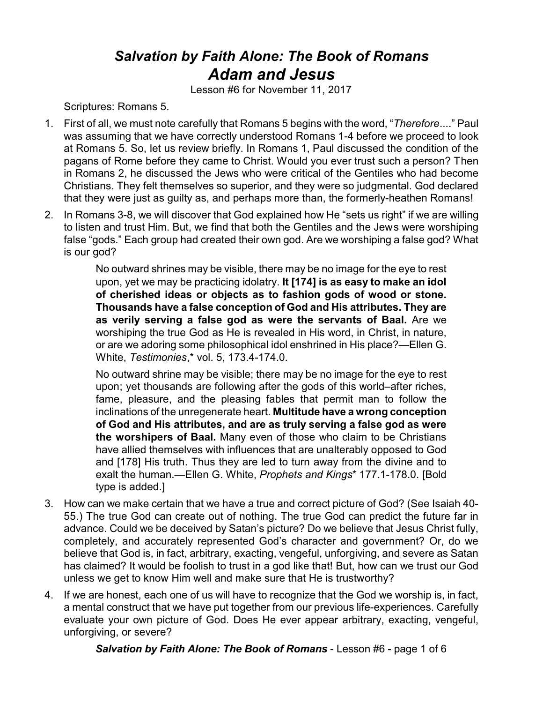## *Salvation by Faith Alone: The Book of Romans Adam and Jesus*

Lesson #6 for November 11, 2017

Scriptures: Romans 5.

- 1. First of all, we must note carefully that Romans 5 begins with the word, "*Therefore*...." Paul was assuming that we have correctly understood Romans 1-4 before we proceed to look at Romans 5. So, let us review briefly. In Romans 1, Paul discussed the condition of the pagans of Rome before they came to Christ. Would you ever trust such a person? Then in Romans 2, he discussed the Jews who were critical of the Gentiles who had become Christians. They felt themselves so superior, and they were so judgmental. God declared that they were just as guilty as, and perhaps more than, the formerly-heathen Romans!
- 2. In Romans 3-8, we will discover that God explained how He "sets us right" if we are willing to listen and trust Him. But, we find that both the Gentiles and the Jews were worshiping false "gods." Each group had created their own god. Are we worshiping a false god? What is our god?

No outward shrines may be visible, there may be no image for the eye to rest upon, yet we may be practicing idolatry. **It [174] is as easy to make an idol of cherished ideas or objects as to fashion gods of wood or stone. Thousands have a false conception of God and His attributes. They are as verily serving a false god as were the servants of Baal.** Are we worshiping the true God as He is revealed in His word, in Christ, in nature, or are we adoring some philosophical idol enshrined in His place?—Ellen G. White, *Testimonies*,\* vol. 5, 173.4-174.0.

No outward shrine may be visible; there may be no image for the eye to rest upon; yet thousands are following after the gods of this world–after riches, fame, pleasure, and the pleasing fables that permit man to follow the inclinations of the unregenerate heart. **Multitude have a wrong conception of God and His attributes, and are as truly serving a false god as were the worshipers of Baal.** Many even of those who claim to be Christians have allied themselves with influences that are unalterably opposed to God and [178] His truth. Thus they are led to turn away from the divine and to exalt the human.—Ellen G. White, *Prophets and Kings*\* 177.1-178.0. [Bold type is added.]

- 3. How can we make certain that we have a true and correct picture of God? (See Isaiah 40- 55.) The true God can create out of nothing. The true God can predict the future far in advance. Could we be deceived by Satan's picture? Do we believe that Jesus Christ fully, completely, and accurately represented God's character and government? Or, do we believe that God is, in fact, arbitrary, exacting, vengeful, unforgiving, and severe as Satan has claimed? It would be foolish to trust in a god like that! But, how can we trust our God unless we get to know Him well and make sure that He is trustworthy?
- 4. If we are honest, each one of us will have to recognize that the God we worship is, in fact, a mental construct that we have put together from our previous life-experiences. Carefully evaluate your own picture of God. Does He ever appear arbitrary, exacting, vengeful, unforgiving, or severe?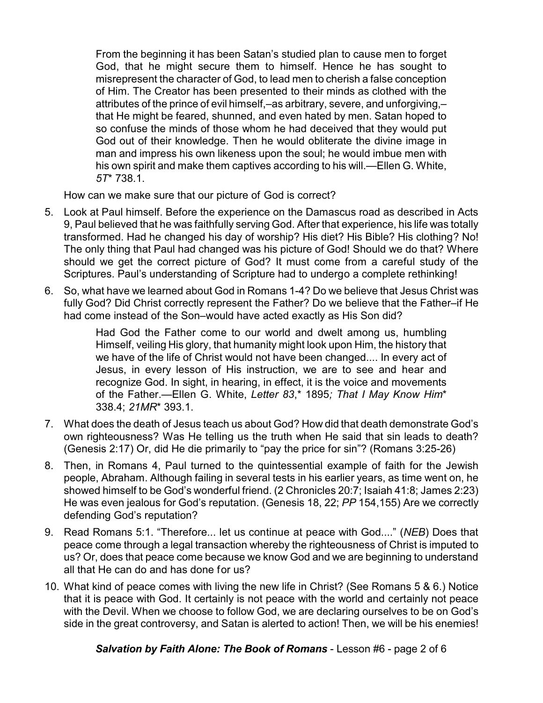From the beginning it has been Satan's studied plan to cause men to forget God, that he might secure them to himself. Hence he has sought to misrepresent the character of God, to lead men to cherish a false conception of Him. The Creator has been presented to their minds as clothed with the attributes of the prince of evil himself,–as arbitrary, severe, and unforgiving,– that He might be feared, shunned, and even hated by men. Satan hoped to so confuse the minds of those whom he had deceived that they would put God out of their knowledge. Then he would obliterate the divine image in man and impress his own likeness upon the soul; he would imbue men with his own spirit and make them captives according to his will.—Ellen G. White, *5T*\* 738.1.

How can we make sure that our picture of God is correct?

- 5. Look at Paul himself. Before the experience on the Damascus road as described in Acts 9, Paul believed that he was faithfully serving God. After that experience, his life was totally transformed. Had he changed his day of worship? His diet? His Bible? His clothing? No! The only thing that Paul had changed was his picture of God! Should we do that? Where should we get the correct picture of God? It must come from a careful study of the Scriptures. Paul's understanding of Scripture had to undergo a complete rethinking!
- 6. So, what have we learned about God in Romans 1-4? Do we believe that Jesus Christ was fully God? Did Christ correctly represent the Father? Do we believe that the Father–if He had come instead of the Son–would have acted exactly as His Son did?

Had God the Father come to our world and dwelt among us, humbling Himself, veiling His glory, that humanity might look upon Him, the history that we have of the life of Christ would not have been changed.... In every act of Jesus, in every lesson of His instruction, we are to see and hear and recognize God. In sight, in hearing, in effect, it is the voice and movements of the Father.—Ellen G. White, *Letter 83*,\* 1895*; That I May Know Him*\* 338.4; *21MR*\* 393.1.

- 7. What does the death of Jesus teach us about God? How did that death demonstrate God's own righteousness? Was He telling us the truth when He said that sin leads to death? (Genesis 2:17) Or, did He die primarily to "pay the price for sin"? (Romans 3:25-26)
- 8. Then, in Romans 4, Paul turned to the quintessential example of faith for the Jewish people, Abraham. Although failing in several tests in his earlier years, as time went on, he showed himself to be God's wonderful friend. (2 Chronicles 20:7; Isaiah 41:8; James 2:23) He was even jealous for God's reputation. (Genesis 18, 22; *PP* 154,155) Are we correctly defending God's reputation?
- 9. Read Romans 5:1. "Therefore... let us continue at peace with God...." (*NEB*) Does that peace come through a legal transaction whereby the righteousness of Christ is imputed to us? Or, does that peace come because we know God and we are beginning to understand all that He can do and has done for us?
- 10. What kind of peace comes with living the new life in Christ? (See Romans 5 & 6.) Notice that it is peace with God. It certainly is not peace with the world and certainly not peace with the Devil. When we choose to follow God, we are declaring ourselves to be on God's side in the great controversy, and Satan is alerted to action! Then, we will be his enemies!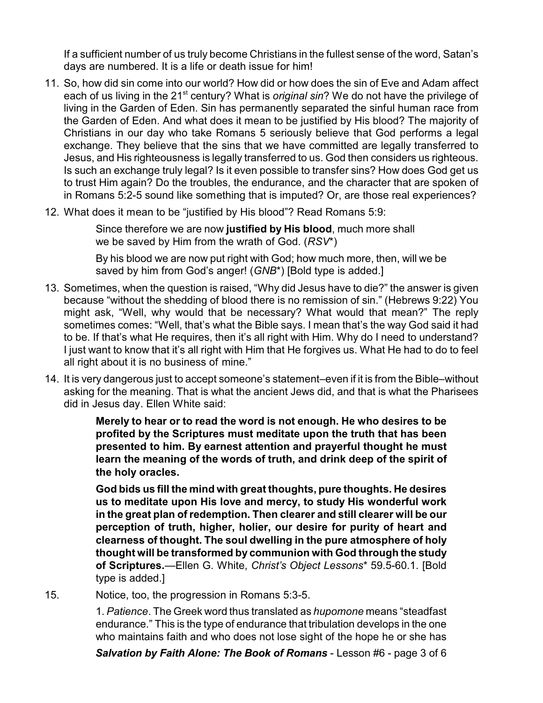If a sufficient number of us truly become Christians in the fullest sense of the word, Satan's days are numbered. It is a life or death issue for him!

- 11. So, how did sin come into our world? How did or how does the sin of Eve and Adam affect each of us living in the 21<sup>st</sup> century? What is *original sin*? We do not have the privilege of living in the Garden of Eden. Sin has permanently separated the sinful human race from the Garden of Eden. And what does it mean to be justified by His blood? The majority of Christians in our day who take Romans 5 seriously believe that God performs a legal exchange. They believe that the sins that we have committed are legally transferred to Jesus, and His righteousness is legally transferred to us. God then considers us righteous. Is such an exchange truly legal? Is it even possible to transfer sins? How does God get us to trust Him again? Do the troubles, the endurance, and the character that are spoken of in Romans 5:2-5 sound like something that is imputed? Or, are those real experiences?
- 12. What does it mean to be "justified by His blood"? Read Romans 5:9:

Since therefore we are now **justified by His blood**, much more shall we be saved by Him from the wrath of God. (*RSV*\*)

By his blood we are now put right with God; how much more, then, will we be saved by him from God's anger! (*GNB*\*) [Bold type is added.]

- 13. Sometimes, when the question is raised, "Why did Jesus have to die?" the answer is given because "without the shedding of blood there is no remission of sin." (Hebrews 9:22) You might ask, "Well, why would that be necessary? What would that mean?" The reply sometimes comes: "Well, that's what the Bible says. I mean that's the way God said it had to be. If that's what He requires, then it's all right with Him. Why do I need to understand? I just want to know that it's all right with Him that He forgives us. What He had to do to feel all right about it is no business of mine."
- 14. It is very dangerous just to accept someone's statement–even if it is from the Bible–without asking for the meaning. That is what the ancient Jews did, and that is what the Pharisees did in Jesus day. Ellen White said:

**Merely to hear or to read the word is not enough. He who desires to be profited by the Scriptures must meditate upon the truth that has been presented to him. By earnest attention and prayerful thought he must learn the meaning of the words of truth, and drink deep of the spirit of the holy oracles.**

**God bids us fill the mind with great thoughts, pure thoughts. He desires us to meditate upon His love and mercy, to study His wonderful work in the great plan of redemption. Then clearer and still clearer will be our perception of truth, higher, holier, our desire for purity of heart and clearness of thought. The soul dwelling in the pure atmosphere of holy thought will be transformed by communion with God through the study of Scriptures.**—Ellen G. White, *Christ's Object Lessons*\* 59.5-60.1. [Bold type is added.]

15. Notice, too, the progression in Romans 5:3-5.

1. *Patience*. The Greek word thus translated as *hupomone* means "steadfast endurance." This is the type of endurance that tribulation develops in the one who maintains faith and who does not lose sight of the hope he or she has

*Salvation by Faith Alone: The Book of Romans* - Lesson #6 - page 3 of 6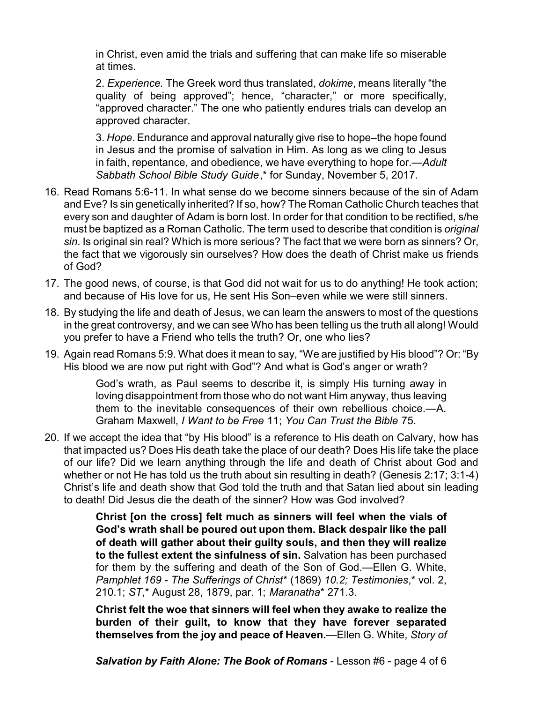in Christ, even amid the trials and suffering that can make life so miserable at times.

2. *Experience.* The Greek word thus translated, *dokime*, means literally "the quality of being approved"; hence, "character," or more specifically, "approved character." The one who patiently endures trials can develop an approved character.

3. *Hope*. Endurance and approval naturally give rise to hope–the hope found in Jesus and the promise of salvation in Him. As long as we cling to Jesus in faith, repentance, and obedience, we have everything to hope for.—*Adult Sabbath School Bible Study Guide*,\* for Sunday, November 5, 2017.

- 16. Read Romans 5:6-11. In what sense do we become sinners because of the sin of Adam and Eve? Is sin genetically inherited? If so, how? The Roman Catholic Church teaches that every son and daughter of Adam is born lost. In order for that condition to be rectified, s/he must be baptized as a Roman Catholic. The term used to describe that condition is *original sin*. Is original sin real? Which is more serious? The fact that we were born as sinners? Or, the fact that we vigorously sin ourselves? How does the death of Christ make us friends of God?
- 17. The good news, of course, is that God did not wait for us to do anything! He took action; and because of His love for us, He sent His Son–even while we were still sinners.
- 18. By studying the life and death of Jesus, we can learn the answers to most of the questions in the great controversy, and we can see Who has been telling us the truth all along! Would you prefer to have a Friend who tells the truth? Or, one who lies?
- 19. Again read Romans 5:9. What does it mean to say, "We are justified by His blood"? Or: "By His blood we are now put right with God"? And what is God's anger or wrath?

God's wrath, as Paul seems to describe it, is simply His turning away in loving disappointment from those who do not want Him anyway, thus leaving them to the inevitable consequences of their own rebellious choice.—A. Graham Maxwell, *I Want to be Free* 11; *You Can Trust the Bible* 75.

20. If we accept the idea that "by His blood" is a reference to His death on Calvary, how has that impacted us? Does His death take the place of our death? Does His life take the place of our life? Did we learn anything through the life and death of Christ about God and whether or not He has told us the truth about sin resulting in death? (Genesis 2:17; 3:1-4) Christ's life and death show that God told the truth and that Satan lied about sin leading to death! Did Jesus die the death of the sinner? How was God involved?

> **Christ [on the cross] felt much as sinners will feel when the vials of God's wrath shall be poured out upon them. Black despair like the pall of death will gather about their guilty souls, and then they will realize to the fullest extent the sinfulness of sin.** Salvation has been purchased for them by the suffering and death of the Son of God.—Ellen G. White, *Pamphlet 169* - *The Sufferings of Christ*\* (1869) *10.2; Testimonies*,\* vol. 2, 210.1; *ST*,\* August 28, 1879, par. 1; *Maranatha*\* 271.3.

> **Christ felt the woe that sinners will feel when they awake to realize the burden of their guilt, to know that they have forever separated themselves from the joy and peace of Heaven.**—Ellen G. White, *Story of*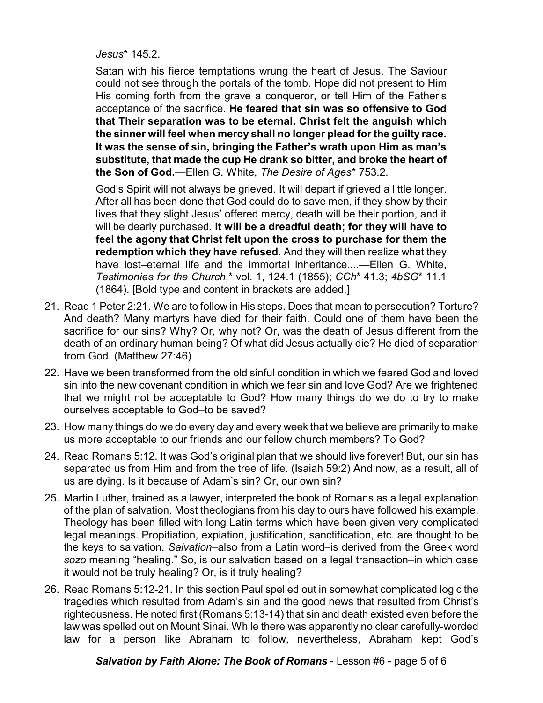*Jesus*\* 145.2.

Satan with his fierce temptations wrung the heart of Jesus. The Saviour could not see through the portals of the tomb. Hope did not present to Him His coming forth from the grave a conqueror, or tell Him of the Father's acceptance of the sacrifice. **He feared that sin was so offensive to God that Their separation was to be eternal. Christ felt the anguish which the sinner will feel when mercy shall no longer plead for the guilty race. It was the sense of sin, bringing the Father's wrath upon Him as man's substitute, that made the cup He drank so bitter, and broke the heart of the Son of God.**—Ellen G. White, *The Desire of Ages*\* 753.2.

God's Spirit will not always be grieved. It will depart if grieved a little longer. After all has been done that God could do to save men, if they show by their lives that they slight Jesus' offered mercy, death will be their portion, and it will be dearly purchased. **It will be a dreadful death; for they will have to feel the agony that Christ felt upon the cross to purchase for them the redemption which they have refused**. And they will then realize what they have lost–eternal life and the immortal inheritance....—Ellen G. White, *Testimonies for the Church*,\* vol. 1, 124.1 (1855); *CCh*\* 41.3; *4bSG*\* 11.1 (1864). [Bold type and content in brackets are added.]

- 21. Read 1 Peter 2:21. We are to follow in His steps. Does that mean to persecution? Torture? And death? Many martyrs have died for their faith. Could one of them have been the sacrifice for our sins? Why? Or, why not? Or, was the death of Jesus different from the death of an ordinary human being? Of what did Jesus actually die? He died of separation from God. (Matthew 27:46)
- 22. Have we been transformed from the old sinful condition in which we feared God and loved sin into the new covenant condition in which we fear sin and love God? Are we frightened that we might not be acceptable to God? How many things do we do to try to make ourselves acceptable to God–to be saved?
- 23. How many things do we do every day and every week that we believe are primarily to make us more acceptable to our friends and our fellow church members? To God?
- 24. Read Romans 5:12. It was God's original plan that we should live forever! But, our sin has separated us from Him and from the tree of life. (Isaiah 59:2) And now, as a result, all of us are dying. Is it because of Adam's sin? Or, our own sin?
- 25. Martin Luther, trained as a lawyer, interpreted the book of Romans as a legal explanation of the plan of salvation. Most theologians from his day to ours have followed his example. Theology has been filled with long Latin terms which have been given very complicated legal meanings. Propitiation, expiation, justification, sanctification, etc. are thought to be the keys to salvation. *Salvation*–also from a Latin word–is derived from the Greek word *sozo* meaning "healing." So, is our salvation based on a legal transaction–in which case it would not be truly healing? Or, is it truly healing?
- 26. Read Romans 5:12-21. In this section Paul spelled out in somewhat complicated logic the tragedies which resulted from Adam's sin and the good news that resulted from Christ's righteousness. He noted first (Romans 5:13-14) that sin and death existed even before the law was spelled out on Mount Sinai. While there was apparently no clear carefully-worded law for a person like Abraham to follow, nevertheless, Abraham kept God's